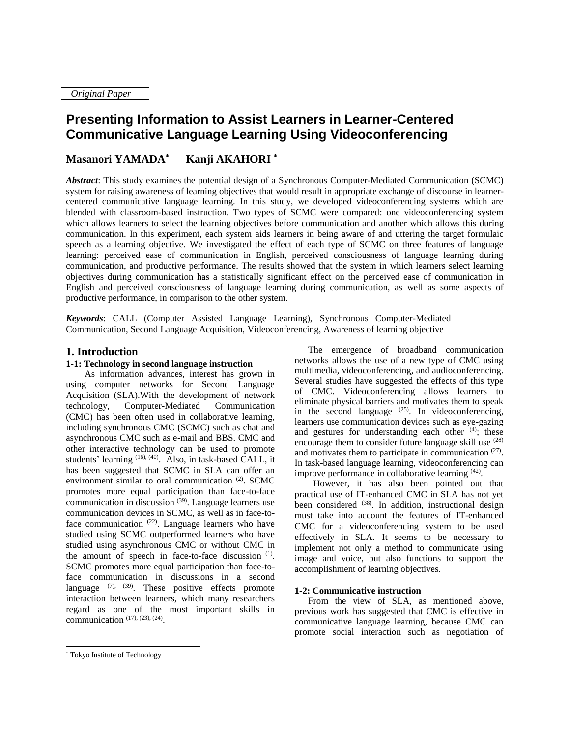*Original Paper*

# **Presenting Information to Assist Learners in Learner-Centered Communicative Language Learning Using Videoconferencing**

#### **Masanori YAMADA\* Kanji AKAHORI \***

*Abstract*: This study examines the potential design of a Synchronous Computer-Mediated Communication (SCMC) system for raising awareness of learning objectives that would result in appropriate exchange of discourse in learnercentered communicative language learning. In this study, we developed videoconferencing systems which are blended with classroom-based instruction. Two types of SCMC were compared: one videoconferencing system which allows learners to select the learning objectives before communication and another which allows this during communication. In this experiment, each system aids learners in being aware of and uttering the target formulaic speech as a learning objective. We investigated the effect of each type of SCMC on three features of language learning: perceived ease of communication in English, perceived consciousness of language learning during communication, and productive performance. The results showed that the system in which learners select learning objectives during communication has a statistically significant effect on the perceived ease of communication in English and perceived consciousness of language learning during communication, as well as some aspects of productive performance, in comparison to the other system.

*Keywords*: CALL (Computer Assisted Language Learning), Synchronous Computer-Mediated Communication, Second Language Acquisition, Videoconferencing, Awareness of learning objective

## **1. Introduction**

## **1-1: Technology in second language instruction**

As information advances, interest has grown in using computer networks for Second Language Acquisition (SLA).With the development of network technology, Computer-Mediated Communication (CMC) has been often used in collaborative learning, including synchronous CMC (SCMC) such as chat and asynchronous CMC such as e-mail and BBS. CMC and other interactive technology can be used to promote students' learning (16), (40). Also, in task-based CALL, it has been suggested that SCMC in SLA can offer an environment similar to oral communication<sup>(2)</sup>. SCMC promotes more equal participation than face-to-face communication in discussion<sup>(39)</sup>. Language learners use communication devices in SCMC, as well as in face-toface communication  $(22)$ . Language learners who have studied using SCMC outperformed learners who have studied using asynchronous CMC or without CMC in the amount of speech in face-to-face discussion  $(1)$ . SCMC promotes more equal participation than face-toface communication in discussions in a second language  $(7)$ ,  $(39)$ . These positive effects promote interaction between learners, which many researchers regard as one of the most important skills in communication  $(17)$ ,  $(23)$ ,  $(24)$ .

However, it has also been pointed out that practical use of IT-enhanced CMC in SLA has not yet been considered <sup>(38)</sup>. In addition, instructional design must take into account the features of IT-enhanced CMC for a videoconferencing system to be used effectively in SLA. It seems to be necessary to implement not only a method to communicate using image and voice, but also functions to support the accomplishment of learning objectives.

## **1-2: Communicative instruction**

From the view of SLA, as mentioned above, previous work has suggested that CMC is effective in communicative language learning, because CMC can promote social interaction such as negotiation of

 $\overline{a}$ 

The emergence of broadband communication networks allows the use of a new type of CMC using multimedia, videoconferencing, and audioconferencing. Several studies have suggested the effects of this type of CMC. Videoconferencing allows learners to eliminate physical barriers and motivates them to speak in the second language  $(25)$ . In videoconferencing, learners use communication devices such as eye-gazing and gestures for understanding each other <sup>(4)</sup>; these encourage them to consider future language skill use (28) and motivates them to participate in communication  $(27)$ . In task-based language learning, videoconferencing can improve performance in collaborative learning <sup>(42)</sup>.

<sup>\*</sup> Tokyo Institute of Technology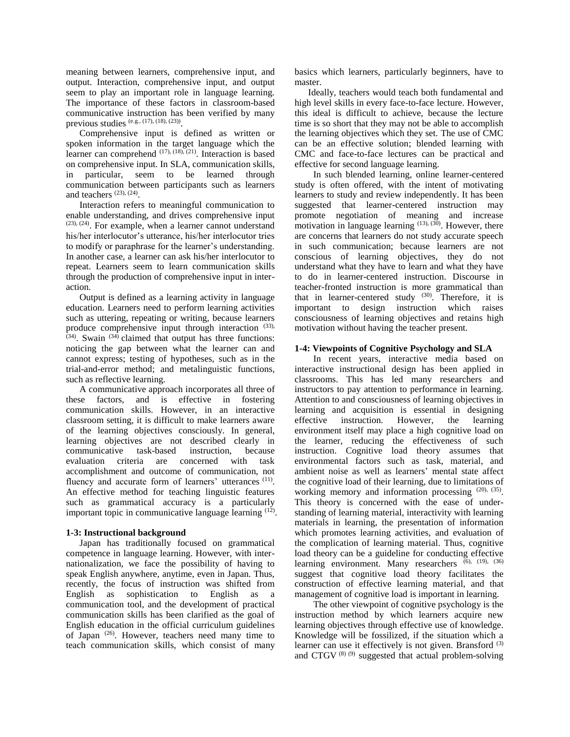meaning between learners, comprehensive input, and output. Interaction, comprehensive input, and output seem to play an important role in language learning. The importance of these factors in classroom-based communicative instruction has been verified by many previous studies (e.g., (17), (18), (23)) .

Comprehensive input is defined as written or spoken information in the target language which the learner can comprehend  $(17)$ ,  $(18)$ ,  $(21)$ . Interaction is based on comprehensive input. In SLA, communication skills, in particular, seem to be learned through communication between participants such as learners and teachers  $(23)$ ,  $(24)$ .

Interaction refers to meaningful communication to enable understanding, and drives comprehensive input (23), (24). For example, when a learner cannot understand his/her interlocutor's utterance, his/her interlocutor tries to modify or paraphrase for the learner's understanding. In another case, a learner can ask his/her interlocutor to repeat. Learners seem to learn communication skills through the production of comprehensive input in interaction.

Output is defined as a learning activity in language education. Learners need to perform learning activities such as uttering, repeating or writing, because learners produce comprehensive input through interaction (33),  $(34)$ . Swain  $(34)$  claimed that output has three functions: noticing the gap between what the learner can and cannot express; testing of hypotheses, such as in the trial-and-error method; and metalinguistic functions, such as reflective learning.

A communicative approach incorporates all three of these factors, and is effective in fostering communication skills. However, in an interactive classroom setting, it is difficult to make learners aware of the learning objectives consciously. In general, learning objectives are not described clearly in communicative task-based instruction, because evaluation criteria are concerned with task accomplishment and outcome of communication, not fluency and accurate form of learners' utterances (11). An effective method for teaching linguistic features such as grammatical accuracy is a particularly important topic in communicative language learning  $(12)$ .

## **1-3: Instructional background**

Japan has traditionally focused on grammatical competence in language learning. However, with internationalization, we face the possibility of having to speak English anywhere, anytime, even in Japan. Thus, recently, the focus of instruction was shifted from English as sophistication to English as a communication tool, and the development of practical communication skills has been clarified as the goal of English education in the official curriculum guidelines of Japan<sup>(26)</sup>. However, teachers need many time to teach communication skills, which consist of many

basics which learners, particularly beginners, have to master.

Ideally, teachers would teach both fundamental and high level skills in every face-to-face lecture. However, this ideal is difficult to achieve, because the lecture time is so short that they may not be able to accomplish the learning objectives which they set. The use of CMC can be an effective solution; blended learning with CMC and face-to-face lectures can be practical and effective for second language learning.

In such blended learning, online learner-centered study is often offered, with the intent of motivating learners to study and review independently. It has been suggested that learner-centered instruction may promote negotiation of meaning and increase motivation in language learning  $(13)$ ,  $(30)$ . However, there are concerns that learners do not study accurate speech in such communication; because learners are not conscious of learning objectives, they do not understand what they have to learn and what they have to do in learner-centered instruction. Discourse in teacher-fronted instruction is more grammatical than that in learner-centered study  $(30)$ . Therefore, it is important to design instruction which raises consciousness of learning objectives and retains high motivation without having the teacher present.

## **1-4: Viewpoints of Cognitive Psychology and SLA**

 In recent years, interactive media based on interactive instructional design has been applied in classrooms. This has led many researchers and instructors to pay attention to performance in learning. Attention to and consciousness of learning objectives in learning and acquisition is essential in designing effective instruction. However, the learning environment itself may place a high cognitive load on the learner, reducing the effectiveness of such instruction. Cognitive load theory assumes that environmental factors such as task, material, and ambient noise as well as learners' mental state affect the cognitive load of their learning, due to limitations of working memory and information processing (20), (35). This theory is concerned with the ease of understanding of learning material, interactivity with learning materials in learning, the presentation of information which promotes learning activities, and evaluation of the complication of learning material. Thus, cognitive load theory can be a guideline for conducting effective learning environment. Many researchers  $(6)$ ,  $(19)$ ,  $(36)$ suggest that cognitive load theory facilitates the construction of effective learning material, and that management of cognitive load is important in learning.

 The other viewpoint of cognitive psychology is the instruction method by which learners acquire new learning objectives through effective use of knowledge. Knowledge will be fossilized, if the situation which a learner can use it effectively is not given. Bransford (3) and CTGV $^{(8)(9)}$  suggested that actual problem-solving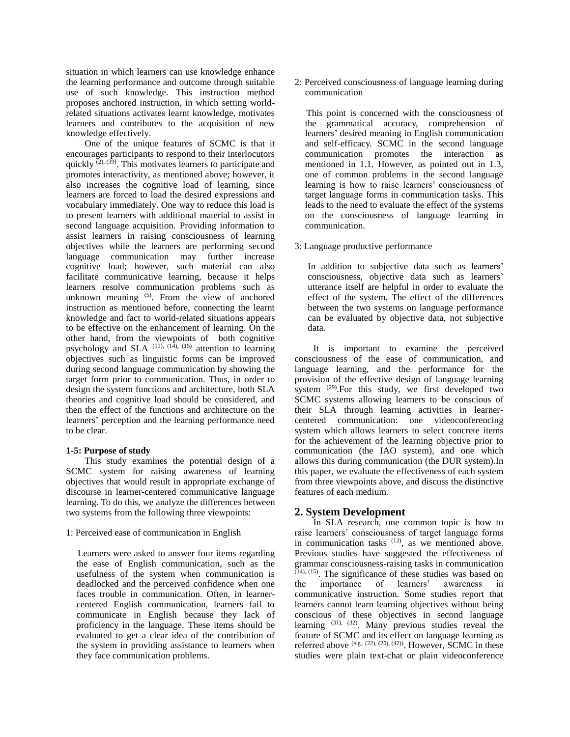situation in which learners can use knowledge enhance the learning performance and outcome through suitable use of such knowledge. This instruction method proposes anchored instruction, in which setting worldrelated situations activates learnt knowledge, motivates learners and contributes to the acquisition of new knowledge effectively.

One of the unique features of SCMC is that it encourages participants to respond to their interlocutors quickly  $(2)$ ,  $(39)$ . This motivates learners to participate and promotes interactivity, as mentioned above; however, it also increases the cognitive load of learning, since learners are forced to load the desired expressions and vocabulary immediately. One way to reduce this load is to present learners with additional material to assist in second language acquisition. Providing information to assist learners in raising consciousness of learning objectives while the learners are performing second language communication may further increase cognitive load; however, such material can also facilitate communicative learning, because it helps learners resolve communication problems such as unknown meaning  $(5)$ . From the view of anchored instruction as mentioned before, connecting the learnt knowledge and fact to world-related situations appears to be effective on the enhancement of learning. On the other hand, from the viewpoints of both cognitive psychology and SLA  $(11)$ ,  $(14)$ ,  $(15)$  attention to learning objectives such as linguistic forms can be improved during second language communication by showing the target form prior to communication. Thus, in order to design the system functions and architecture, both SLA theories and cognitive load should be considered, and then the effect of the functions and architecture on the learners' perception and the learning performance need to be clear.

## **1-5: Purpose of study**

This study examines the potential design of a SCMC system for raising awareness of learning objectives that would result in appropriate exchange of discourse in learner-centered communicative language learning. To do this, we analyze the differences between two systems from the following three viewpoints:

#### 1: Perceived ease of communication in English

 Learners were asked to answer four items regarding the ease of English communication, such as the usefulness of the system when communication is deadlocked and the perceived confidence when one faces trouble in communication. Often, in learnercentered English communication, learners fail to communicate in English because they lack of proficiency in the language. These items should be evaluated to get a clear idea of the contribution of the system in providing assistance to learners when they face communication problems.

2: Perceived consciousness of language learning during communication

 This point is concerned with the consciousness of the grammatical accuracy, comprehension of learners' desired meaning in English communication and self-efficacy. SCMC in the second language communication promotes the interaction as mentioned in 1.1. However, as pointed out in 1.3, one of common problems in the second language learning is how to raise learners' consciousness of target language forms in communication tasks. This leads to the need to evaluate the effect of the systems on the consciousness of language learning in communication.

### 3: Language productive performance

In addition to subjective data such as learners' consciousness, objective data such as learners' utterance itself are helpful in order to evaluate the effect of the system. The effect of the differences between the two systems on language performance can be evaluated by objective data, not subjective data.

It is important to examine the perceived consciousness of the ease of communication, and language learning, and the performance for the provision of the effective design of language learning system <sup>(29)</sup>. For this study, we first developed two SCMC systems allowing learners to be conscious of their SLA through learning activities in learnercentered communication: one videoconferencing system which allows learners to select concrete items for the achievement of the learning objective prior to communication (the IAO system), and one which allows this during communication (the DUR system).In this paper, we evaluate the effectiveness of each system from three viewpoints above, and discuss the distinctive features of each medium.

## **2. System Development**

In SLA research, one common topic is how to raise learners' consciousness of target language forms in communication tasks <sup>(12)</sup>, as we mentioned above. Previous studies have suggested the effectiveness of grammar consciousness-raising tasks in communication (14), (15). The significance of these studies was based on the importance of learners' awareness in communicative instruction. Some studies report that learners cannot learn learning objectives without being conscious of these objectives in second language learning  $(31)$ ,  $(32)$ . Many previous studies reveal the feature of SCMC and its effect on language learning as referred above  $(e.g., (22), (25), (42))$ . However, SCMC in these studies were plain text-chat or plain videoconference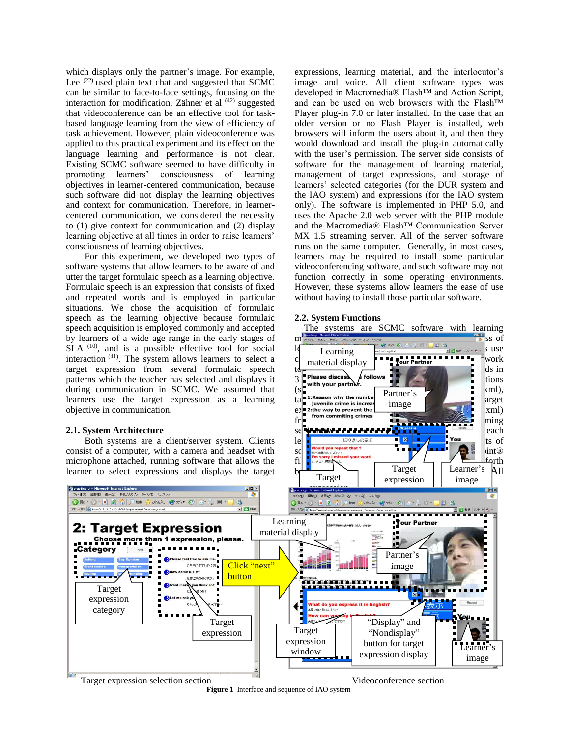which displays only the partner's image. For example, Lee <sup>(22)</sup> used plain text chat and suggested that SCMC can be similar to face-to-face settings, focusing on the interaction for modification. Zähner et al  $(42)$  suggested that videoconference can be an effective tool for taskbased language learning from the view of efficiency of task achievement. However, plain videoconference was applied to this practical experiment and its effect on the language learning and performance is not clear. Existing SCMC software seemed to have difficulty in promoting learners' consciousness of learning objectives in learner-centered communication, because such software did not display the learning objectives and context for communication. Therefore, in learnercentered communication, we considered the necessity to (1) give context for communication and (2) display learning objective at all times in order to raise learners' consciousness of learning objectives.

For this experiment, we developed two types of software systems that allow learners to be aware of and utter the target formulaic speech as a learning objective. Formulaic speech is an expression that consists of fixed and repeated words and is employed in particular situations. We chose the acquisition of formulaic speech as the learning objective because formulaic speech acquisition is employed commonly and accepted by learners of a wide age range in the early stages of  $SLA^{(10)}$ , and is a possible effective tool for social interaction<sup>(41)</sup>. The system allows learners to select a target expression from several formulaic speech patterns which the teacher has selected and displays it during communication in SCMC. We assumed that learners use the target expression as a learning objective in communication.

#### **2.1. System Architecture**

consist of a computer, with a camera and headset with microphone attached, running software that allows the learner to select expressions and displays the target

expressions, learning material, and the interlocutor's image and voice. All client software types was developed in Macromedia® Flash™ and Action Script, and can be used on web browsers with the Flash™ Player plug-in 7.0 or later installed. In the case that an older version or no Flash Player is installed, web browsers will inform the users about it, and then they would download and install the plug-in automatically with the user's permission. The server side consists of software for the management of learning material, management of target expressions, and storage of learners' selected categories (for the DUR system and the IAO system) and expressions (for the IAO system only). The software is implemented in PHP 5.0, and uses the Apache 2.0 web server with the PHP module and the Macromedia® Flash™ Communication Server MX 1.5 streaming server. All of the server software runs on the same computer. Generally, in most cases, learners may be required to install some particular videoconferencing software, and such software may not function correctly in some operating environments. However, these systems allow learners the ease of use without having to install those particular software.

#### **2.2. System Functions**



**Figure 1** Interface and sequence of IAO system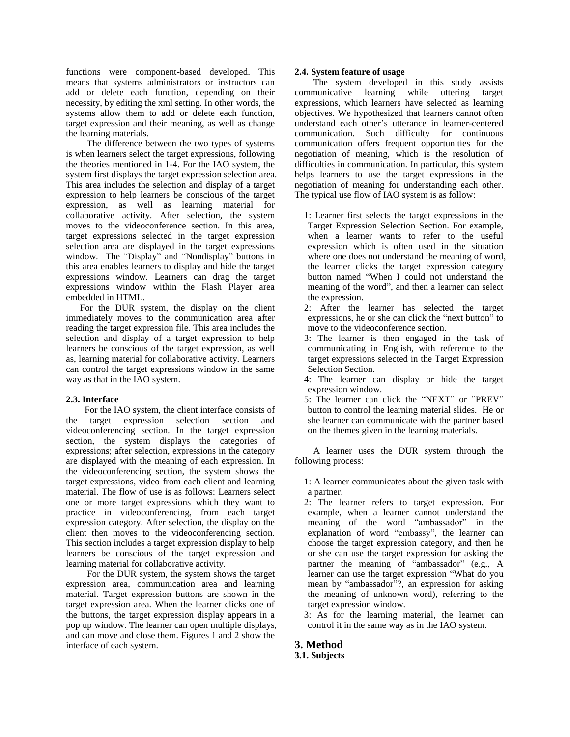functions were component-based developed. This means that systems administrators or instructors can add or delete each function, depending on their necessity, by editing the xml setting. In other words, the systems allow them to add or delete each function, target expression and their meaning, as well as change the learning materials.

 The difference between the two types of systems is when learners select the target expressions, following the theories mentioned in 1-4. For the IAO system, the system first displays the target expression selection area. This area includes the selection and display of a target expression to help learners be conscious of the target expression, as well as learning material for collaborative activity. After selection, the system moves to the videoconference section. In this area, target expressions selected in the target expression selection area are displayed in the target expressions window. The "Display" and "Nondisplay" buttons in this area enables learners to display and hide the target expressions window. Learners can drag the target expressions window within the Flash Player area embedded in HTML.

For the DUR system, the display on the client immediately moves to the communication area after reading the target expression file. This area includes the selection and display of a target expression to help learners be conscious of the target expression, as well as, learning material for collaborative activity. Learners can control the target expressions window in the same way as that in the IAO system.

## **2.3. Interface**

For the IAO system, the client interface consists of target expression selection section and videoconferencing section. In the target expression section, the system displays the categories of expressions; after selection, expressions in the category are displayed with the meaning of each expression. In the videoconferencing section, the system shows the target expressions, video from each client and learning material. The flow of use is as follows: Learners select one or more target expressions which they want to practice in videoconferencing, from each target expression category. After selection, the display on the client then moves to the videoconferencing section. This section includes a target expression display to help learners be conscious of the target expression and learning material for collaborative activity.

For the DUR system, the system shows the target expression area, communication area and learning material. Target expression buttons are shown in the target expression area. When the learner clicks one of the buttons, the target expression display appears in a pop up window. The learner can open multiple displays, and can move and close them. Figures 1 and 2 show the interface of each system.

## **2.4. System feature of usage**

 The system developed in this study assists communicative learning while uttering target expressions, which learners have selected as learning objectives. We hypothesized that learners cannot often understand each other's utterance in learner-centered communication. Such difficulty for continuous communication offers frequent opportunities for the negotiation of meaning, which is the resolution of difficulties in communication. In particular, this system helps learners to use the target expressions in the negotiation of meaning for understanding each other. The typical use flow of IAO system is as follow:

- 1: Learner first selects the target expressions in the Target Expression Selection Section. For example, when a learner wants to refer to the useful expression which is often used in the situation where one does not understand the meaning of word, the learner clicks the target expression category button named "When I could not understand the meaning of the word", and then a learner can select the expression.
- 2: After the learner has selected the target expressions, he or she can click the "next button" to move to the videoconference section.
- 3: The learner is then engaged in the task of communicating in English, with reference to the target expressions selected in the Target Expression Selection Section.
- 4: The learner can display or hide the target expression window.
- 5: The learner can click the "NEXT" or "PREV" button to control the learning material slides. He or she learner can communicate with the partner based on the themes given in the learning materials.

A learner uses the DUR system through the following process:

 1: A learner communicates about the given task with a partner.

- 2: The learner refers to target expression. For example, when a learner cannot understand the meaning of the word "ambassador" in the explanation of word "embassy", the learner can choose the target expression category, and then he or she can use the target expression for asking the partner the meaning of "ambassador" (e.g., A learner can use the target expression "What do you mean by "ambassador"?, an expression for asking the meaning of unknown word), referring to the target expression window.
- 3: As for the learning material, the learner can control it in the same way as in the IAO system.

## **3. Method**

## **3.1. Subjects**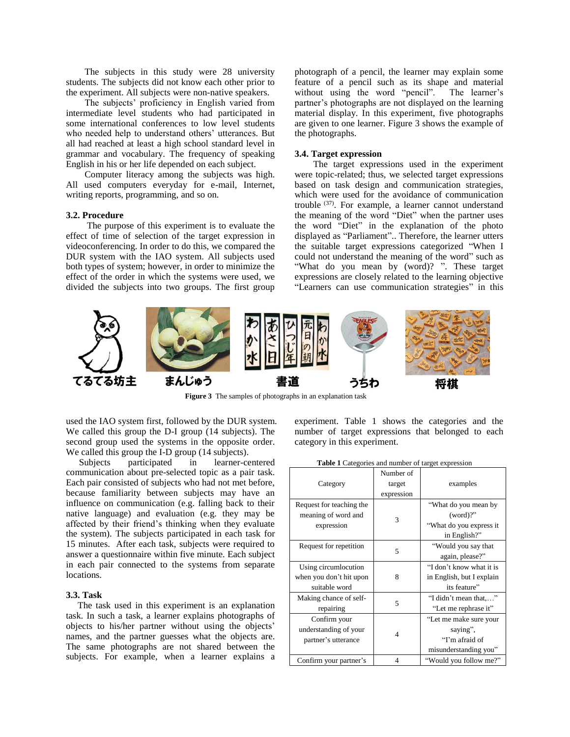The subjects in this study were 28 university students. The subjects did not know each other prior to the experiment. All subjects were non-native speakers.

The subjects' proficiency in English varied from intermediate level students who had participated in some international conferences to low level students who needed help to understand others' utterances. But all had reached at least a high school standard level in grammar and vocabulary. The frequency of speaking English in his or her life depended on each subject.

Computer literacy among the subjects was high. All used computers everyday for e-mail, Internet, writing reports, programming, and so on.

#### **3.2. Procedure**

The purpose of this experiment is to evaluate the effect of time of selection of the target expression in videoconferencing. In order to do this, we compared the DUR system with the IAO system. All subjects used both types of system; however, in order to minimize the effect of the order in which the systems were used, we divided the subjects into two groups. The first group photograph of a pencil, the learner may explain some feature of a pencil such as its shape and material without using the word "pencil". The learner's partner's photographs are not displayed on the learning material display. In this experiment, five photographs are given to one learner. Figure 3 shows the example of the photographs.

### **3.4. Target expression**

The target expressions used in the experiment were topic-related; thus, we selected target expressions based on task design and communication strategies, which were used for the avoidance of communication trouble <sup>(37)</sup>. For example, a learner cannot understand the meaning of the word "Diet" when the partner uses the word "Diet" in the explanation of the photo displayed as "Parliament".. Therefore, the learner utters the suitable target expressions categorized "When I could not understand the meaning of the word" such as "What do you mean by (word)? ". These target expressions are closely related to the learning objective "Learners can use communication strategies" in this



**Figure 3** The samples of photographs in an explanation task

used the IAO system first, followed by the DUR system. We called this group the D-I group (14 subjects). The second group used the systems in the opposite order. We called this group the I-D group (14 subjects).

Subjects participated in learner-centered communication about pre-selected topic as a pair task. Each pair consisted of subjects who had not met before, because familiarity between subjects may have an influence on communication (e.g. falling back to their native language) and evaluation (e.g. they may be affected by their friend's thinking when they evaluate the system). The subjects participated in each task for 15 minutes. After each task, subjects were required to answer a questionnaire within five minute. Each subject in each pair connected to the systems from separate locations.

#### **3.3. Task**

 The task used in this experiment is an explanation task. In such a task, a learner explains photographs of objects to his/her partner without using the objects' names, and the partner guesses what the objects are. The same photographs are not shared between the subjects. For example, when a learner explains a experiment. Table 1 shows the categories and the number of target expressions that belonged to each category in this experiment.

|                          | Number of  |                           |
|--------------------------|------------|---------------------------|
|                          |            |                           |
| Category                 | target     | examples                  |
|                          | expression |                           |
| Request for teaching the |            | "What do you mean by      |
| meaning of word and      |            | $(word)$ ?"               |
| expression               | 3          | "What do you express it   |
|                          |            | in English?"              |
| Request for repetition   | 5          | "Would you say that       |
|                          |            | again, please?"           |
| Using circumlocution     |            | "I don't know what it is  |
| when you don't hit upon  | 8          | in English, but I explain |
| suitable word            |            | its feature"              |
| Making chance of self-   | 5          | "I didn't mean that,"     |
| repairing                |            | "Let me rephrase it"      |
| Confirm your             |            | "Let me make sure your    |
| understanding of your    | 4          | saying",                  |
| partner's utterance      |            | "I'm afraid of            |
|                          |            | misunderstanding you"     |
| Confirm your partner's   | 4          | "Would you follow me?"    |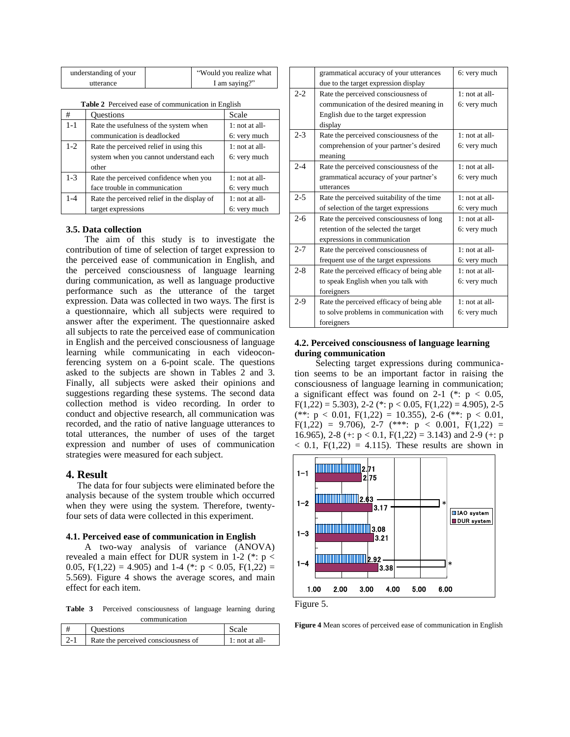| understanding of your | "Would you realize what |
|-----------------------|-------------------------|
| utterance             | I am saying?"           |

|  | <b>Table 2</b> Perceived ease of communication in English |  |
|--|-----------------------------------------------------------|--|
|  |                                                           |  |

| #       | <b>Ouestions</b>                            | Scale            |
|---------|---------------------------------------------|------------------|
| $1 - 1$ | Rate the usefulness of the system when      | $1:$ not at all- |
|         | communication is deadlocked                 | 6: very much     |
| $1-2$   | Rate the perceived relief in using this     | $1:$ not at all- |
|         | system when you cannot understand each      | 6: very much     |
|         | other                                       |                  |
| $1 - 3$ | Rate the perceived confidence when you      | $1:$ not at all- |
|         | face trouble in communication               | 6: very much     |
| $1 - 4$ | Rate the perceived relief in the display of | $1:$ not at all- |
|         | target expressions                          | 6: very much     |

### **3.5. Data collection**

The aim of this study is to investigate the contribution of time of selection of target expression to the perceived ease of communication in English, and the perceived consciousness of language learning during communication, as well as language productive performance such as the utterance of the target expression. Data was collected in two ways. The first is a questionnaire, which all subjects were required to answer after the experiment. The questionnaire asked all subjects to rate the perceived ease of communication in English and the perceived consciousness of language learning while communicating in each videoconferencing system on a 6-point scale. The questions asked to the subjects are shown in Tables 2 and 3. Finally, all subjects were asked their opinions and suggestions regarding these systems. The second data collection method is video recording. In order to conduct and objective research, all communication was recorded, and the ratio of native language utterances to total utterances, the number of uses of the target expression and number of uses of communication strategies were measured for each subject.

### **4. Result**

The data for four subjects were eliminated before the analysis because of the system trouble which occurred when they were using the system. Therefore, twentyfour sets of data were collected in this experiment.

#### **4.1. Perceived ease of communication in English**

A two-way analysis of variance (ANOVA) revealed a main effect for DUR system in 1-2 ( $*$ : p < 0.05,  $F(1,22) = 4.905$  and 1-4 (\*:  $p < 0.05$ ,  $F(1,22) =$ 5.569). Figure 4 shows the average scores, and main effect for each item.

**Table 3** Perceived consciousness of language learning during communication

| <b>Ouestions</b>                    |                |
|-------------------------------------|----------------|
| Rate the perceived consciousness of | 1: not at all- |

|         | grammatical accuracy of your utterances    | 6: very much     |
|---------|--------------------------------------------|------------------|
|         | due to the target expression display       |                  |
| $2 - 2$ | Rate the perceived consciousness of        | $1:$ not at all- |
|         | communication of the desired meaning in    | 6: very much     |
|         | English due to the target expression       |                  |
|         | display                                    |                  |
| $2 - 3$ | Rate the perceived consciousness of the    | $1:$ not at all- |
|         | comprehension of your partner's desired    | 6: very much     |
|         | meaning                                    |                  |
| $2 - 4$ | Rate the perceived consciousness of the    | $1:$ not at all- |
|         | grammatical accuracy of your partner's     | 6: very much     |
|         | utterances                                 |                  |
| $2 - 5$ | Rate the perceived suitability of the time | $1:$ not at all- |
|         | of selection of the target expressions     | 6: very much     |
| $2 - 6$ | Rate the perceived consciousness of long   | $1:$ not at all- |
|         | retention of the selected the target       | 6: very much     |
|         | expressions in communication               |                  |
| $2 - 7$ | Rate the perceived consciousness of        | $1:$ not at all- |
|         | frequent use of the target expressions     | 6: very much     |
| $2 - 8$ | Rate the perceived efficacy of being able  | $1:$ not at all- |
|         | to speak English when you talk with        | 6: very much     |
|         | foreigners                                 |                  |
| $2-9$   | Rate the perceived efficacy of being able  | $1:$ not at all- |
|         | to solve problems in communication with    | 6: very much     |
|         | foreigners                                 |                  |

## **4.2. Perceived consciousness of language learning during communication**

 Selecting target expressions during communication seems to be an important factor in raising the consciousness of language learning in communication; a significant effect was found on 2-1 (\*:  $p < 0.05$ ,  $F(1,22) = 5.303$ , 2-2 (\*: p < 0.05,  $F(1,22) = 4.905$ ), 2-5 (\*\*:  $p < 0.01$ ,  $F(1,22) = 10.355$ ), 2-6 (\*\*:  $p < 0.01$ ,  $F(1,22) = 9.706$ , 2-7 (\*\*\*:  $p < 0.001$ ,  $F(1,22) =$ 16.965), 2-8 (+:  $p < 0.1$ ,  $F(1,22) = 3.143$ ) and 2-9 (+: p  $< 0.1$ , F(1,22) = 4.115). These results are shown in





**Figure 4** Mean scores of perceived ease of communication in English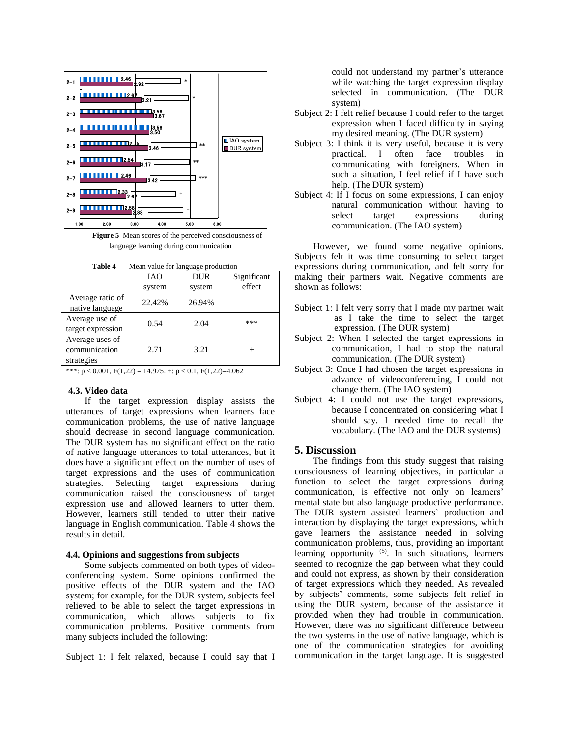

**Figure 5** Mean scores of the perceived consciousness of language learning during communication

| Table 4 |  |  |  | Mean value for language production |
|---------|--|--|--|------------------------------------|
|---------|--|--|--|------------------------------------|

|                                                | <b>IAO</b> | DUR    | Significant |  |
|------------------------------------------------|------------|--------|-------------|--|
|                                                | system     | system | effect      |  |
| Average ratio of<br>native language            | 22.42%     | 26.94% |             |  |
| Average use of<br>target expression            | 0.54       | 2.04   | ***         |  |
| Average uses of<br>communication<br>strategies | 2.71       | 3.21   | $^+$        |  |
|                                                |            |        |             |  |

\*\*\*:  $p < 0.001$ ,  $F(1,22) = 14.975$ . +:  $p < 0.1$ ,  $F(1,22)=4.062$ 

#### **4.3. Video data**

If the target expression display assists the utterances of target expressions when learners face communication problems, the use of native language should decrease in second language communication. The DUR system has no significant effect on the ratio of native language utterances to total utterances, but it does have a significant effect on the number of uses of target expressions and the uses of communication strategies. Selecting target expressions during communication raised the consciousness of target expression use and allowed learners to utter them. However, learners still tended to utter their native language in English communication. Table 4 shows the results in detail.

#### **4.4. Opinions and suggestions from subjects**

Some subjects commented on both types of videoconferencing system. Some opinions confirmed the positive effects of the DUR system and the IAO system; for example, for the DUR system, subjects feel relieved to be able to select the target expressions in communication, which allows subjects to fix communication problems. Positive comments from many subjects included the following:

Subject 1: I felt relaxed, because I could say that I

could not understand my partner's utterance while watching the target expression display selected in communication. (The DUR system)

- Subject 2: I felt relief because I could refer to the target expression when I faced difficulty in saying my desired meaning. (The DUR system)
- Subject 3: I think it is very useful, because it is very practical. I often face troubles in communicating with foreigners. When in such a situation, I feel relief if I have such help. (The DUR system)
- Subject 4: If I focus on some expressions, I can enjoy natural communication without having to select target expressions during communication. (The IAO system)

However, we found some negative opinions. Subjects felt it was time consuming to select target expressions during communication, and felt sorry for making their partners wait. Negative comments are shown as follows:

- Subject 1: I felt very sorry that I made my partner wait as I take the time to select the target expression. (The DUR system)
- Subject 2: When I selected the target expressions in communication, I had to stop the natural communication. (The DUR system)
- Subject 3: Once I had chosen the target expressions in advance of videoconferencing, I could not change them. (The IAO system)
- Subject 4: I could not use the target expressions, because I concentrated on considering what I should say. I needed time to recall the vocabulary. (The IAO and the DUR systems)

## **5. Discussion**

The findings from this study suggest that raising consciousness of learning objectives, in particular a function to select the target expressions during communication, is effective not only on learners' mental state but also language productive performance. The DUR system assisted learners' production and interaction by displaying the target expressions, which gave learners the assistance needed in solving communication problems, thus, providing an important learning opportunity <sup>(5)</sup>. In such situations, learners seemed to recognize the gap between what they could and could not express, as shown by their consideration of target expressions which they needed. As revealed by subjects' comments, some subjects felt relief in using the DUR system, because of the assistance it provided when they had trouble in communication. However, there was no significant difference between the two systems in the use of native language, which is one of the communication strategies for avoiding communication in the target language. It is suggested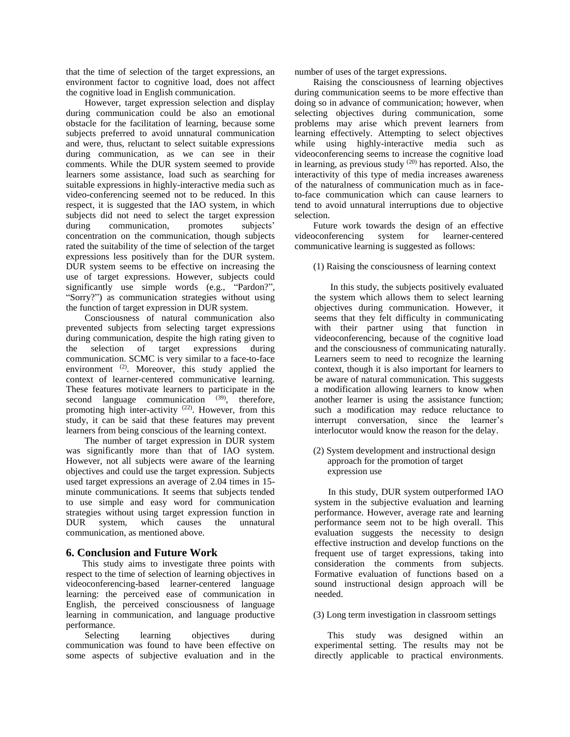that the time of selection of the target expressions, an environment factor to cognitive load, does not affect the cognitive load in English communication.

However, target expression selection and display during communication could be also an emotional obstacle for the facilitation of learning, because some subjects preferred to avoid unnatural communication and were, thus, reluctant to select suitable expressions during communication, as we can see in their comments. While the DUR system seemed to provide learners some assistance, load such as searching for suitable expressions in highly-interactive media such as video-conferencing seemed not to be reduced. In this respect, it is suggested that the IAO system, in which subjects did not need to select the target expression during communication, promotes subjects' concentration on the communication, though subjects rated the suitability of the time of selection of the target expressions less positively than for the DUR system. DUR system seems to be effective on increasing the use of target expressions. However, subjects could significantly use simple words (e.g., "Pardon?", "Sorry?") as communication strategies without using the function of target expression in DUR system.

Consciousness of natural communication also prevented subjects from selecting target expressions during communication, despite the high rating given to the selection of target expressions during communication. SCMC is very similar to a face-to-face environment <sup>(2)</sup>. Moreover, this study applied the context of learner-centered communicative learning. These features motivate learners to participate in the second language communication  $(39)$ , therefore, promoting high inter-activity  $(22)$ . However, from this study, it can be said that these features may prevent learners from being conscious of the learning context.

The number of target expression in DUR system was significantly more than that of IAO system. However, not all subjects were aware of the learning objectives and could use the target expression. Subjects used target expressions an average of 2.04 times in 15 minute communications. It seems that subjects tended to use simple and easy word for communication strategies without using target expression function in DUR system, which causes the unnatural communication, as mentioned above.

## **6. Conclusion and Future Work**

This study aims to investigate three points with respect to the time of selection of learning objectives in videoconferencing-based learner-centered language learning: the perceived ease of communication in English, the perceived consciousness of language learning in communication, and language productive performance.

Selecting learning objectives during communication was found to have been effective on some aspects of subjective evaluation and in the

number of uses of the target expressions.

Raising the consciousness of learning objectives during communication seems to be more effective than doing so in advance of communication; however, when selecting objectives during communication, some problems may arise which prevent learners from learning effectively. Attempting to select objectives while using highly-interactive media such as videoconferencing seems to increase the cognitive load in learning, as previous study (20) has reported. Also, the interactivity of this type of media increases awareness of the naturalness of communication much as in faceto-face communication which can cause learners to tend to avoid unnatural interruptions due to objective selection.

Future work towards the design of an effective videoconferencing system for learner-centered communicative learning is suggested as follows:

(1) Raising the consciousness of learning context

 In this study, the subjects positively evaluated the system which allows them to select learning objectives during communication. However, it seems that they felt difficulty in communicating with their partner using that function in videoconferencing, because of the cognitive load and the consciousness of communicating naturally. Learners seem to need to recognize the learning context, though it is also important for learners to be aware of natural communication. This suggests a modification allowing learners to know when another learner is using the assistance function; such a modification may reduce reluctance to interrupt conversation, since the learner's interlocutor would know the reason for the delay.

(2) System development and instructional design approach for the promotion of target expression use

In this study, DUR system outperformed IAO system in the subjective evaluation and learning performance. However, average rate and learning performance seem not to be high overall. This evaluation suggests the necessity to design effective instruction and develop functions on the frequent use of target expressions, taking into consideration the comments from subjects. Formative evaluation of functions based on a sound instructional design approach will be needed.

## (3) Long term investigation in classroom settings

This study was designed within an experimental setting. The results may not be directly applicable to practical environments.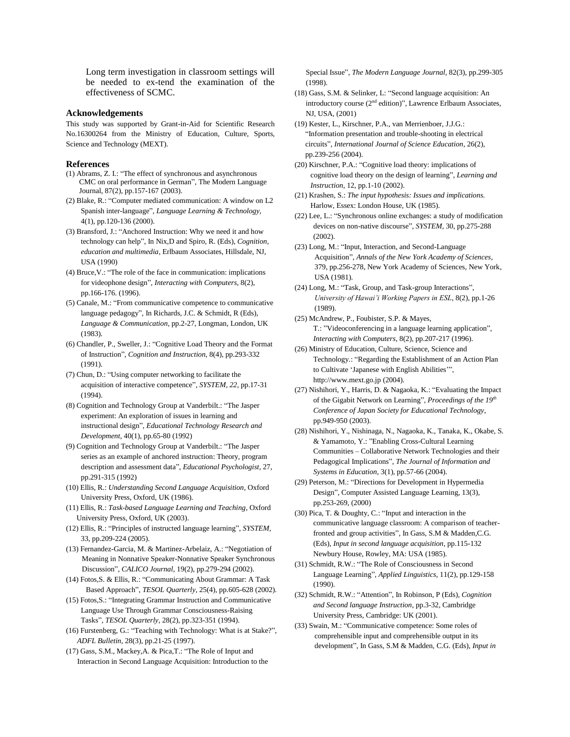Long term investigation in classroom settings will be needed to ex-tend the examination of the effectiveness of SCMC.

### **Acknowledgements**

This study was supported by Grant-in-Aid for Scientific Research No.16300264 from the Ministry of Education, Culture, Sports, Science and Technology (MEXT).

#### **References**

- (1) Abrams, Z. I.: "The effect of synchronous and asynchronous CMC on oral performance in German", The Modern Language Journal, 87(2), pp.157-167 (2003).
- (2) Blake, R.: "Computer mediated communication: A window on L2 Spanish inter-language", *Language Learning & Technology,*  4(1), pp.120-136 (2000).
- (3) Bransford, J.: "Anchored Instruction: Why we need it and how technology can help", In Nix,D and Spiro, R. (Eds), *Cognition, education and multimedia*, Erlbaum Associates, Hillsdale, NJ, USA (1990)
- (4) Bruce,V.: "The role of the face in communication: implications for videophone design", *Interacting with Computers*, 8(2), pp.166-176. (1996).
- (5) Canale, M.: "From communicative competence to communicative language pedagogy", In Richards, J.C. & Schmidt, R (Eds), *Language & Communication*, pp.2-27, Longman, London, UK (1983).
- (6) Chandler, P., Sweller, J.: "Cognitive Load Theory and the Format of Instruction", *Cognition and Instruction,* 8(4)*,* pp.293-332 (1991).
- (7) Chun, D.: "Using computer networking to facilitate the acquisition of interactive competence", *SYSTEM, 22*, pp.17-31 (1994).
- (8) Cognition and Technology Group at Vanderbilt.: "The Jasper experiment: An exploration of issues in learning and instructional design", *Educational Technology Research and Development*, 40(1), pp.65-80 (1992)
- (9) Cognition and Technology Group at Vanderbilt.: "The Jasper series as an example of anchored instruction: Theory, program description and assessment data", *Educational Psychologist*, 27, pp.291-315 (1992)
- (10) Ellis, R.: *Understanding Second Language Acquisition*, Oxford University Press, Oxford, UK (1986).
- (11) Ellis, R.: *Task-based Language Learning and Teaching*, Oxford University Press, Oxford, UK (2003).
- (12) Ellis, R.: "Principles of instructed language learning", *SYSTEM,*  33, pp.209-224 (2005).
- (13) Fernandez-Garcia, M. & Martinez-Arbelaiz, A.: "Negotiation of Meaning in Nonnative Speaker-Nonnative Speaker Synchronous Discussion", *CALICO Journal*, 19(2), pp.279-294 (2002).
- (14) Fotos,S. & Ellis, R.: "Communicating About Grammar: A Task Based Approach", *TESOL Quarterly*, 25(4), pp.605-628 (2002).
- (15) Fotos,S.: "Integrating Grammar Instruction and Communicative Language Use Through Grammar Consciousness-Raising Tasks", *TESOL Quarterly*, 28(2), pp.323-351 (1994).
- (16) Furstenberg, G.: "Teaching with Technology: What is at Stake?", *ADFL Bulletin,* 28(3), pp.21-25 (1997).
- (17) Gass, S.M., Mackey,A. & Pica,T.: "The Role of Input and Interaction in Second Language Acquisition: Introduction to the

Special Issue", *The Modern Language Journal*, 82(3), pp.299-305 (1998).

- (18) Gass, S.M. & Selinker, L: "Second language acquisition: An introductory course (2nd edition)", Lawrence Erlbaum Associates, NJ, USA, (2001)
- (19) Kester, L., Kirschner, P.A., van Merrienboer, J.J.G.: "Information presentation and trouble-shooting in electrical circuits", *International Journal of Science Education*, 26(2), pp.239-256 (2004).
- (20) Kirschner, P.A.: "Cognitive load theory: implications of cognitive load theory on the design of learning", *Learning and Instruction*, 12, pp.1-10 (2002).
- (21) Krashen, S.: *The input hypothesis: Issues and implications.* Harlow, Essex: London House, UK (1985).
- (22) Lee, L.: "Synchronous online exchanges: a study of modification devices on non-native discourse", *SYSTEM,* 30, pp.275-288 (2002).
- (23) Long, M.: "Input, Interaction, and Second-Language Acquisition", *Annals of the New York Academy of Sciences*, 379, pp.256-278, New York Academy of Sciences, New York, USA (1981).
- (24) Long, M.: "Task, Group, and Task-group Interactions", *University of Hawai'i Working Papers in ESL*, 8(2), pp.1-26 (1989).
- (25) McAndrew, P., Foubister, S.P. & Mayes, T.: "Videoconferencing in a language learning application", *Interacting with Computers*, 8(2), pp.207-217 (1996).
- (26) Ministry of Education, Culture, Science, Science and Technology.: "Regarding the Establishment of an Action Plan to Cultivate 'Japanese with English Abilities'", http://www.mext.go.jp (2004).
- (27) Nishihori, Y., Harris, D. & Nagaoka, K.: "Evaluating the Impact of the Gigabit Network on Learning", *Proceedings of the 19th Conference of Japan Society for Educational Technology*, pp.949-950 (2003).
- (28) Nishihori, Y., Nishinaga, N., Nagaoka, K., Tanaka, K., Okabe, S. & Yamamoto, Y.: "Enabling Cross-Cultural Learning Communities – Collaborative Network Technologies and their Pedagogical Implications", *The Journal of Information and Systems in Education*, 3(1), pp.57-66 (2004).
- (29) Peterson, M.: "Directions for Development in Hypermedia Design", Computer Assisted Language Learning, 13(3), pp.253-269, (2000)
- (30) Pica, T. & Doughty, C.: "Input and interaction in the communicative language classroom: A comparison of teacherfronted and group activities", In Gass, S.M & Madden,C.G. (Eds), *Input in second language acquisition*, pp.115-132 Newbury House, Rowley, MA: USA (1985).
- (31) Schmidt, R.W.: "The Role of Consciousness in Second Language Learning", *Applied Linguistics*, 11(2), pp.129-158 (1990).
- (32) Schmidt, R.W.: "Attention", In Robinson, P (Eds), *Cognition and Second language Instruction*, pp.3-32, Cambridge University Press, Cambridge: UK (2001).
- (33) Swain, M.: "Communicative competence: Some roles of comprehensible input and comprehensible output in its development", In Gass, S.M & Madden, C.G. (Eds), *Input in*